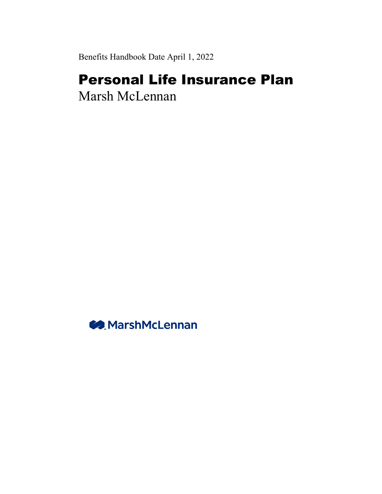Benefits Handbook Date April 1, 2022

# Personal Life Insurance Plan

Marsh McLennan

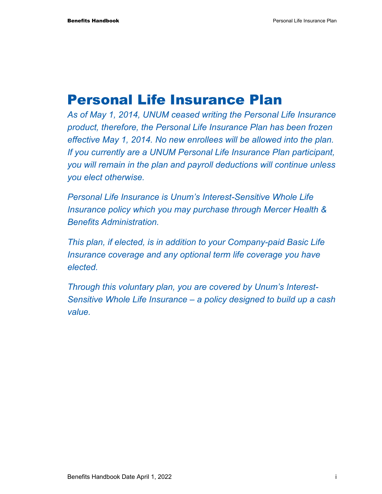# Personal Life Insurance Plan

*As of May 1, 2014, UNUM ceased writing the Personal Life Insurance product, therefore, the Personal Life Insurance Plan has been frozen effective May 1, 2014. No new enrollees will be allowed into the plan. If you currently are a UNUM Personal Life Insurance Plan participant, you will remain in the plan and payroll deductions will continue unless you elect otherwise.* 

*Personal Life Insurance is Unum's Interest-Sensitive Whole Life Insurance policy which you may purchase through Mercer Health & Benefits Administration.* 

*This plan, if elected, is in addition to your Company-paid Basic Life Insurance coverage and any optional term life coverage you have elected.* 

*Through this voluntary plan, you are covered by Unum's Interest-Sensitive Whole Life Insurance – a policy designed to build up a cash value.*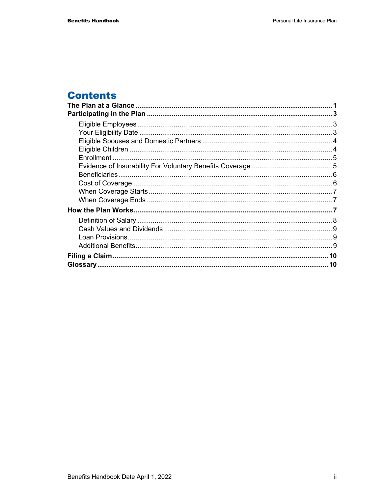## **Contents**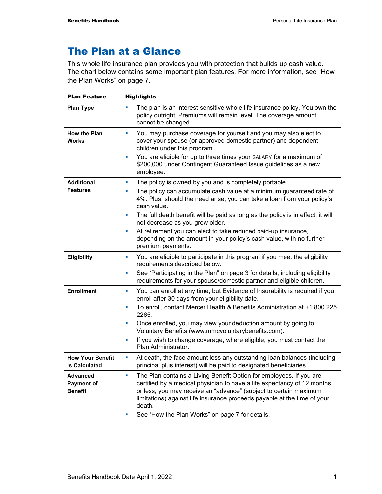## The Plan at a Glance

This whole life insurance plan provides you with protection that builds up cash value. The chart below contains some important plan features. For more information, see "How the Plan Works" on page 7.

| <b>Plan Feature</b>                                    | <b>Highlights</b>                                                                                                                                                                                                                                                                                                                                                                                                                                                                                                                               |
|--------------------------------------------------------|-------------------------------------------------------------------------------------------------------------------------------------------------------------------------------------------------------------------------------------------------------------------------------------------------------------------------------------------------------------------------------------------------------------------------------------------------------------------------------------------------------------------------------------------------|
| <b>Plan Type</b>                                       | The plan is an interest-sensitive whole life insurance policy. You own the<br>٠<br>policy outright. Premiums will remain level. The coverage amount<br>cannot be changed.                                                                                                                                                                                                                                                                                                                                                                       |
| <b>How the Plan</b><br><b>Works</b>                    | You may purchase coverage for yourself and you may also elect to<br>ш<br>cover your spouse (or approved domestic partner) and dependent<br>children under this program.<br>You are eligible for up to three times your SALARY for a maximum of<br>×<br>\$200,000 under Contingent Guaranteed Issue guidelines as a new<br>employee.                                                                                                                                                                                                             |
| <b>Additional</b><br><b>Features</b>                   | The policy is owned by you and is completely portable.<br>$\blacksquare$<br>The policy can accumulate cash value at a minimum guaranteed rate of<br>a.<br>4%. Plus, should the need arise, you can take a loan from your policy's<br>cash value.<br>The full death benefit will be paid as long as the policy is in effect; it will<br>×<br>not decrease as you grow older.<br>At retirement you can elect to take reduced paid-up insurance,<br>ш<br>depending on the amount in your policy's cash value, with no further<br>premium payments. |
| <b>Eligibility</b>                                     | You are eligible to participate in this program if you meet the eligibility<br>ш<br>requirements described below.<br>See "Participating in the Plan" on page 3 for details, including eligibility<br>×<br>requirements for your spouse/domestic partner and eligible children.                                                                                                                                                                                                                                                                  |
| <b>Enrollment</b>                                      | You can enroll at any time, but Evidence of Insurability is required if you<br>×<br>enroll after 30 days from your eligibility date.<br>To enroll, contact Mercer Health & Benefits Administration at +1 800 225<br>L.<br>2265.<br>Once enrolled, you may view your deduction amount by going to<br><b>D</b><br>Voluntary Benefits (www.mmcvoluntarybenefits.com).<br>If you wish to change coverage, where eligible, you must contact the<br>L.<br>Plan Administrator.                                                                         |
| <b>How Your Benefit</b><br>is Calculated               | At death, the face amount less any outstanding loan balances (including<br>×<br>principal plus interest) will be paid to designated beneficiaries.                                                                                                                                                                                                                                                                                                                                                                                              |
| <b>Advanced</b><br><b>Payment of</b><br><b>Benefit</b> | The Plan contains a Living Benefit Option for employees. If you are<br>$\overline{\phantom{a}}$<br>certified by a medical physician to have a life expectancy of 12 months<br>or less, you may receive an "advance" (subject to certain maximum<br>limitations) against life insurance proceeds payable at the time of your<br>death.<br>See "How the Plan Works" on page 7 for details.<br>ш                                                                                                                                                   |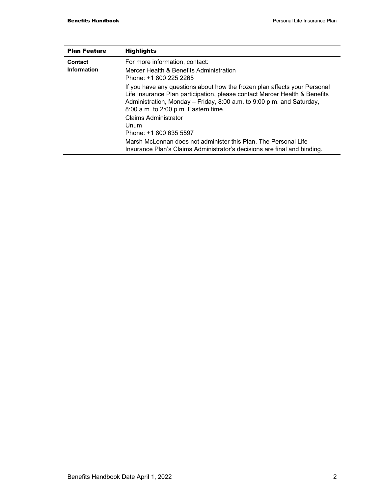| <b>Plan Feature</b> | <b>Highlights</b>                                                                                                                                                                                                                                                        |
|---------------------|--------------------------------------------------------------------------------------------------------------------------------------------------------------------------------------------------------------------------------------------------------------------------|
| Contact             | For more information, contact:                                                                                                                                                                                                                                           |
| Information         | Mercer Health & Benefits Administration<br>Phone: +1 800 225 2265                                                                                                                                                                                                        |
|                     | If you have any questions about how the frozen plan affects your Personal<br>Life Insurance Plan participation, please contact Mercer Health & Benefits<br>Administration, Monday - Friday, 8:00 a.m. to 9:00 p.m. and Saturday,<br>8:00 a.m. to 2:00 p.m. Eastern time. |
|                     | <b>Claims Administrator</b><br>Unum<br>Phone: +1 800 635 5597                                                                                                                                                                                                            |
|                     | Marsh McLennan does not administer this Plan. The Personal Life<br>Insurance Plan's Claims Administrator's decisions are final and binding.                                                                                                                              |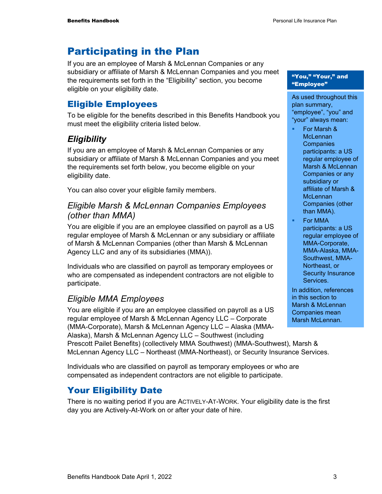## Participating in the Plan

If you are an employee of Marsh & McLennan Companies or any subsidiary or affiliate of Marsh & McLennan Companies and you meet the requirements set forth in the "Eligibility" section, you become eligible on your eligibility date.

### Eligible Employees

To be eligible for the benefits described in this Benefits Handbook you must meet the eligibility criteria listed below.

## *Eligibility*

If you are an employee of Marsh & McLennan Companies or any subsidiary or affiliate of Marsh & McLennan Companies and you meet the requirements set forth below, you become eligible on your eligibility date.

You can also cover your eligible family members.

#### *Eligible Marsh & McLennan Companies Employees (other than MMA)*

You are eligible if you are an employee classified on payroll as a US regular employee of Marsh & McLennan or any subsidiary or affiliate of Marsh & McLennan Companies (other than Marsh & McLennan Agency LLC and any of its subsidiaries (MMA)).

Individuals who are classified on payroll as temporary employees or who are compensated as independent contractors are not eligible to participate.

### *Eligible MMA Employees*

You are eligible if you are an employee classified on payroll as a US regular employee of Marsh & McLennan Agency LLC – Corporate (MMA-Corporate), Marsh & McLennan Agency LLC – Alaska (MMA-Alaska), Marsh & McLennan Agency LLC – Southwest (including

"You," "Your," and "Employee"

As used throughout this plan summary, "employee", "you" and "your" always mean:

- For Marsh & **McLennan Companies** participants: a US regular employee of Marsh & McLennan Companies or any subsidiary or affiliate of Marsh & **McLennan** Companies (other than MMA).
- For MMA participants: a US regular employee of MMA-Corporate, MMA-Alaska, MMA-Southwest, MMA-Northeast, or Security Insurance Services.

In addition, references in this section to Marsh & McLennan Companies mean Marsh McLennan.

Prescott Pailet Benefits) (collectively MMA Southwest) (MMA-Southwest), Marsh & McLennan Agency LLC – Northeast (MMA-Northeast), or Security Insurance Services.

Individuals who are classified on payroll as temporary employees or who are compensated as independent contractors are not eligible to participate.

## Your Eligibility Date

There is no waiting period if you are ACTIVELY-AT-WORK. Your eligibility date is the first day you are Actively-At-Work on or after your date of hire.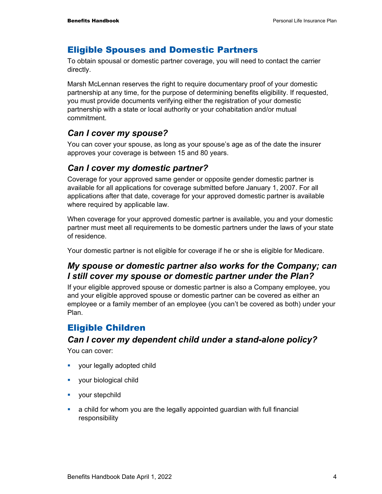#### Eligible Spouses and Domestic Partners

To obtain spousal or domestic partner coverage, you will need to contact the carrier directly.

Marsh McLennan reserves the right to require documentary proof of your domestic partnership at any time, for the purpose of determining benefits eligibility. If requested, you must provide documents verifying either the registration of your domestic partnership with a state or local authority or your cohabitation and/or mutual commitment.

### *Can I cover my spouse?*

You can cover your spouse, as long as your spouse's age as of the date the insurer approves your coverage is between 15 and 80 years.

#### *Can I cover my domestic partner?*

Coverage for your approved same gender or opposite gender domestic partner is available for all applications for coverage submitted before January 1, 2007. For all applications after that date, coverage for your approved domestic partner is available where required by applicable law.

When coverage for your approved domestic partner is available, you and your domestic partner must meet all requirements to be domestic partners under the laws of your state of residence.

Your domestic partner is not eligible for coverage if he or she is eligible for Medicare.

### *My spouse or domestic partner also works for the Company; can I still cover my spouse or domestic partner under the Plan?*

If your eligible approved spouse or domestic partner is also a Company employee, you and your eligible approved spouse or domestic partner can be covered as either an employee or a family member of an employee (you can't be covered as both) under your Plan.

### Eligible Children

#### *Can I cover my dependent child under a stand-alone policy?*

You can cover:

- **vour legally adopted child**
- **vour biological child**
- **vour stepchild**
- a child for whom you are the legally appointed guardian with full financial responsibility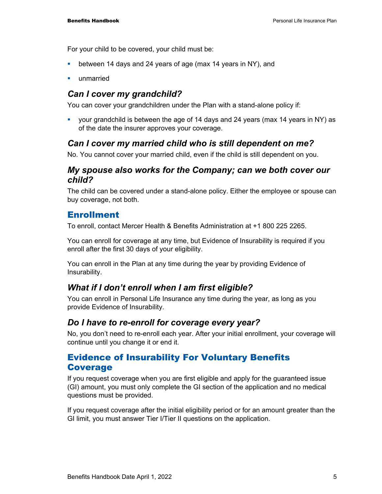For your child to be covered, your child must be:

- **•** between 14 days and 24 years of age (max 14 years in NY), and
- unmarried

### *Can I cover my grandchild?*

You can cover your grandchildren under the Plan with a stand-alone policy if:

 your grandchild is between the age of 14 days and 24 years (max 14 years in NY) as of the date the insurer approves your coverage.

### *Can I cover my married child who is still dependent on me?*

No. You cannot cover your married child, even if the child is still dependent on you.

#### *My spouse also works for the Company; can we both cover our child?*

The child can be covered under a stand-alone policy. Either the employee or spouse can buy coverage, not both.

### Enrollment

To enroll, contact Mercer Health & Benefits Administration at +1 800 225 2265.

You can enroll for coverage at any time, but Evidence of Insurability is required if you enroll after the first 30 days of your eligibility.

You can enroll in the Plan at any time during the year by providing Evidence of Insurability.

### *What if I don't enroll when I am first eligible?*

You can enroll in Personal Life Insurance any time during the year, as long as you provide Evidence of Insurability.

#### *Do I have to re-enroll for coverage every year?*

No, you don't need to re-enroll each year. After your initial enrollment, your coverage will continue until you change it or end it.

### Evidence of Insurability For Voluntary Benefits Coverage

If you request coverage when you are first eligible and apply for the guaranteed issue (GI) amount, you must only complete the GI section of the application and no medical questions must be provided.

If you request coverage after the initial eligibility period or for an amount greater than the GI limit, you must answer Tier I/Tier II questions on the application.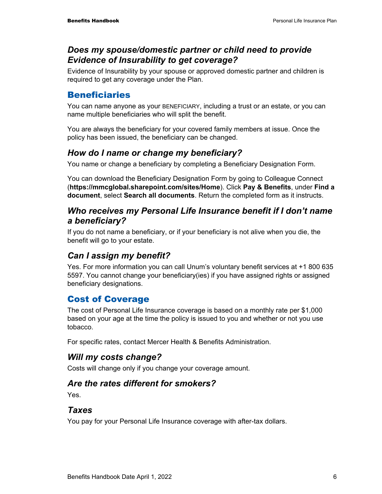#### *Does my spouse/domestic partner or child need to provide Evidence of Insurability to get coverage?*

Evidence of Insurability by your spouse or approved domestic partner and children is required to get any coverage under the Plan.

### Beneficiaries

You can name anyone as your BENEFICIARY, including a trust or an estate, or you can name multiple beneficiaries who will split the benefit.

You are always the beneficiary for your covered family members at issue. Once the policy has been issued, the beneficiary can be changed.

### *How do I name or change my beneficiary?*

You name or change a beneficiary by completing a Beneficiary Designation Form.

You can download the Beneficiary Designation Form by going to Colleague Connect (**https://mmcglobal.sharepoint.com/sites/Home**). Click **Pay & Benefits**, under **Find a document**, select **Search all documents**. Return the completed form as it instructs.

#### *Who receives my Personal Life Insurance benefit if I don't name a beneficiary?*

If you do not name a beneficiary, or if your beneficiary is not alive when you die, the benefit will go to your estate.

### *Can I assign my benefit?*

Yes. For more information you can call Unum's voluntary benefit services at +1 800 635 5597. You cannot change your beneficiary(ies) if you have assigned rights or assigned beneficiary designations.

## Cost of Coverage

The cost of Personal Life Insurance coverage is based on a monthly rate per \$1,000 based on your age at the time the policy is issued to you and whether or not you use tobacco.

For specific rates, contact Mercer Health & Benefits Administration.

### *Will my costs change?*

Costs will change only if you change your coverage amount.

### *Are the rates different for smokers?*

Yes.

#### *Taxes*

You pay for your Personal Life Insurance coverage with after-tax dollars.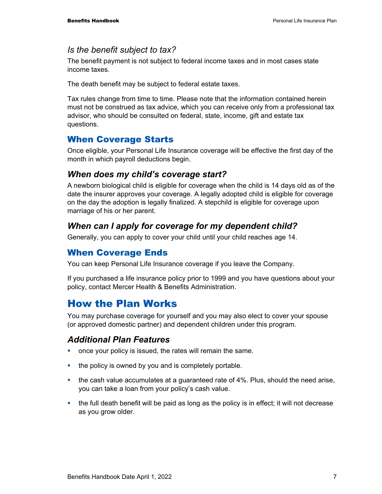#### *Is the benefit subject to tax?*

The benefit payment is not subject to federal income taxes and in most cases state income taxes.

The death benefit may be subject to federal estate taxes.

Tax rules change from time to time. Please note that the information contained herein must not be construed as tax advice, which you can receive only from a professional tax advisor, who should be consulted on federal, state, income, gift and estate tax questions.

### When Coverage Starts

Once eligible, your Personal Life Insurance coverage will be effective the first day of the month in which payroll deductions begin.

#### *When does my child's coverage start?*

A newborn biological child is eligible for coverage when the child is 14 days old as of the date the insurer approves your coverage. A legally adopted child is eligible for coverage on the day the adoption is legally finalized. A stepchild is eligible for coverage upon marriage of his or her parent.

### *When can I apply for coverage for my dependent child?*

Generally, you can apply to cover your child until your child reaches age 14.

#### When Coverage Ends

You can keep Personal Life Insurance coverage if you leave the Company.

If you purchased a life insurance policy prior to 1999 and you have questions about your policy, contact Mercer Health & Benefits Administration.

## How the Plan Works

You may purchase coverage for yourself and you may also elect to cover your spouse (or approved domestic partner) and dependent children under this program.

#### *Additional Plan Features*

- **•** once your policy is issued, the rates will remain the same.
- $\blacksquare$  the policy is owned by you and is completely portable.
- the cash value accumulates at a guaranteed rate of 4%. Plus, should the need arise, you can take a loan from your policy's cash value.
- $\blacksquare$  the full death benefit will be paid as long as the policy is in effect; it will not decrease as you grow older.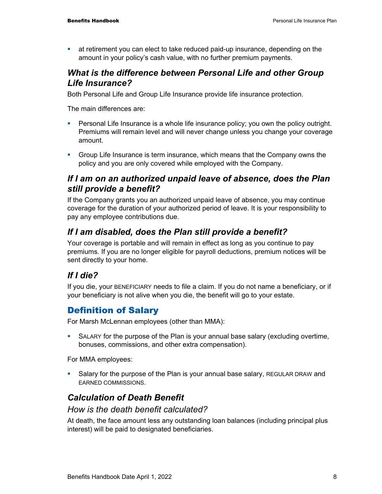at retirement you can elect to take reduced paid-up insurance, depending on the amount in your policy's cash value, with no further premium payments.

### *What is the difference between Personal Life and other Group Life Insurance?*

Both Personal Life and Group Life Insurance provide life insurance protection.

The main differences are:

- **Personal Life Insurance is a whole life insurance policy; you own the policy outright.** Premiums will remain level and will never change unless you change your coverage amount.
- Group Life Insurance is term insurance, which means that the Company owns the policy and you are only covered while employed with the Company.

#### *If I am on an authorized unpaid leave of absence, does the Plan still provide a benefit?*

If the Company grants you an authorized unpaid leave of absence, you may continue coverage for the duration of your authorized period of leave. It is your responsibility to pay any employee contributions due.

### *If I am disabled, does the Plan still provide a benefit?*

Your coverage is portable and will remain in effect as long as you continue to pay premiums. If you are no longer eligible for payroll deductions, premium notices will be sent directly to your home.

### *If I die?*

If you die, your BENEFICIARY needs to file a claim. If you do not name a beneficiary, or if your beneficiary is not alive when you die, the benefit will go to your estate.

## Definition of Salary

For Marsh McLennan employees (other than MMA):

 SALARY for the purpose of the Plan is your annual base salary (excluding overtime, bonuses, commissions, and other extra compensation).

For MMA employees:

 Salary for the purpose of the Plan is your annual base salary, REGULAR DRAW and EARNED COMMISSIONS.

## *Calculation of Death Benefit*

#### *How is the death benefit calculated?*

At death, the face amount less any outstanding loan balances (including principal plus interest) will be paid to designated beneficiaries.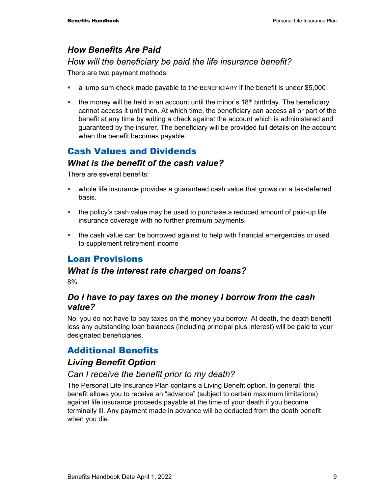### *How Benefits Are Paid*

#### *How will the beneficiary be paid the life insurance benefit?*

There are two payment methods:

- a lump sum check made payable to the BENEFICIARY if the benefit is under \$5,000
- **the money will be held in an account until the minor's 18<sup>th</sup> birthday. The beneficiary** cannot access it until then. At which time, the beneficiary can access all or part of the benefit at any time by writing a check against the account which is administered and guaranteed by the insurer. The beneficiary will be provided full details on the account when the benefit becomes payable.

## Cash Values and Dividends

#### *What is the benefit of the cash value?*

There are several benefits:

- whole life insurance provides a guaranteed cash value that grows on a tax-deferred basis.
- the policy's cash value may be used to purchase a reduced amount of paid-up life insurance coverage with no further premium payments.
- the cash value can be borrowed against to help with financial emergencies or used to supplement retirement income

## Loan Provisions

#### *What is the interest rate charged on loans?*

8%.

#### *Do I have to pay taxes on the money I borrow from the cash value?*

No, you do not have to pay taxes on the money you borrow. At death, the death benefit less any outstanding loan balances (including principal plus interest) will be paid to your designated beneficiaries.

## Additional Benefits

### *Living Benefit Option*

#### *Can I receive the benefit prior to my death?*

The Personal Life Insurance Plan contains a Living Benefit option. In general, this benefit allows you to receive an "advance" (subject to certain maximum limitations) against life insurance proceeds payable at the time of your death if you become terminally ill. Any payment made in advance will be deducted from the death benefit when you die.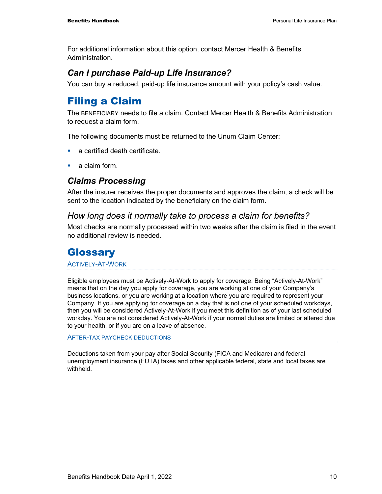For additional information about this option, contact Mercer Health & Benefits Administration.

## *Can I purchase Paid-up Life Insurance?*

You can buy a reduced, paid-up life insurance amount with your policy's cash value.

## Filing a Claim

The BENEFICIARY needs to file a claim. Contact Mercer Health & Benefits Administration to request a claim form.

The following documents must be returned to the Unum Claim Center:

- a certified death certificate.
- a claim form.

### *Claims Processing*

After the insurer receives the proper documents and approves the claim, a check will be sent to the location indicated by the beneficiary on the claim form.

#### *How long does it normally take to process a claim for benefits?*

Most checks are normally processed within two weeks after the claim is filed in the event no additional review is needed.

## **Glossary**

ACTIVELY-AT-WORK

Eligible employees must be Actively-At-Work to apply for coverage. Being "Actively-At-Work" means that on the day you apply for coverage, you are working at one of your Company's business locations, or you are working at a location where you are required to represent your Company. If you are applying for coverage on a day that is not one of your scheduled workdays, then you will be considered Actively-At-Work if you meet this definition as of your last scheduled workday. You are not considered Actively-At-Work if your normal duties are limited or altered due to your health, or if you are on a leave of absence.

AFTER-TAX PAYCHECK DEDUCTIONS

Deductions taken from your pay after Social Security (FICA and Medicare) and federal unemployment insurance (FUTA) taxes and other applicable federal, state and local taxes are withheld.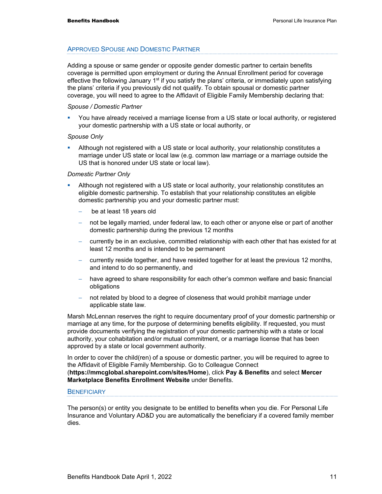#### APPROVED SPOUSE AND DOMESTIC PARTNER

Adding a spouse or same gender or opposite gender domestic partner to certain benefits coverage is permitted upon employment or during the Annual Enrollment period for coverage effective the following January 1<sup>st</sup> if you satisfy the plans' criteria, or immediately upon satisfying the plans' criteria if you previously did not qualify. To obtain spousal or domestic partner coverage, you will need to agree to the Affidavit of Eligible Family Membership declaring that:

#### *Spouse / Domestic Partner*

 You have already received a marriage license from a US state or local authority, or registered your domestic partnership with a US state or local authority, or

#### *Spouse Only*

 Although not registered with a US state or local authority, your relationship constitutes a marriage under US state or local law (e.g. common law marriage or a marriage outside the US that is honored under US state or local law).

#### *Domestic Partner Only*

- Although not registered with a US state or local authority, your relationship constitutes an eligible domestic partnership. To establish that your relationship constitutes an eligible domestic partnership you and your domestic partner must:
	- be at least 18 years old
	- not be legally married, under federal law, to each other or anyone else or part of another domestic partnership during the previous 12 months
	- − currently be in an exclusive, committed relationship with each other that has existed for at least 12 months and is intended to be permanent
	- − currently reside together, and have resided together for at least the previous 12 months, and intend to do so permanently, and
	- have agreed to share responsibility for each other's common welfare and basic financial obligations
	- not related by blood to a degree of closeness that would prohibit marriage under applicable state law.

Marsh McLennan reserves the right to require documentary proof of your domestic partnership or marriage at any time, for the purpose of determining benefits eligibility. If requested, you must provide documents verifying the registration of your domestic partnership with a state or local authority, your cohabitation and/or mutual commitment, or a marriage license that has been approved by a state or local government authority.

In order to cover the child(ren) of a spouse or domestic partner, you will be required to agree to the Affidavit of Eligible Family Membership. Go to Colleague Connect (**https://mmcglobal.sharepoint.com/sites/Home**), click **Pay & Benefits** and select **Mercer Marketplace Benefits Enrollment Website** under Benefits.

#### **BENEFICIARY**

The person(s) or entity you designate to be entitled to benefits when you die. For Personal Life Insurance and Voluntary AD&D you are automatically the beneficiary if a covered family member dies.